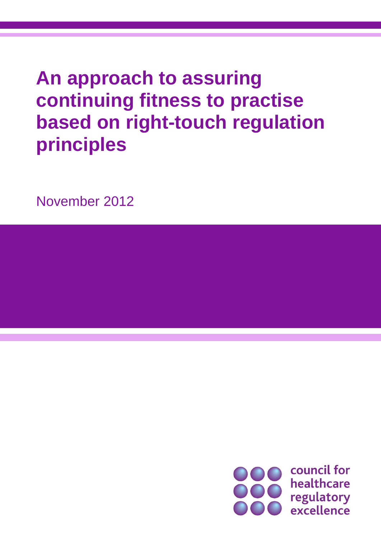# **An approach to assuring continuing fitness to practise based on right-touch regulation principles**

November 2012

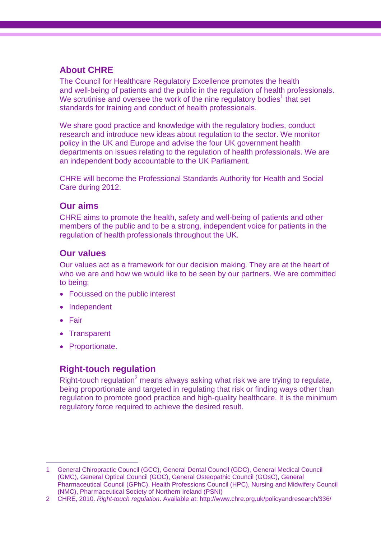# **About CHRE**

The Council for Healthcare Regulatory Excellence promotes the health and well-being of patients and the public in the regulation of health professionals. We scrutinise and oversee the work of the nine regulatory bodies<sup>1</sup> that set standards for training and conduct of health professionals.

We share good practice and knowledge with the regulatory bodies, conduct research and introduce new ideas about regulation to the sector. We monitor policy in the UK and Europe and advise the four UK government health departments on issues relating to the regulation of health professionals. We are an independent body accountable to the UK Parliament.

CHRE will become the Professional Standards Authority for Health and Social Care during 2012.

### **Our aims**

CHRE aims to promote the health, safety and well-being of patients and other members of the public and to be a strong, independent voice for patients in the regulation of health professionals throughout the UK.

# **Our values**

Our values act as a framework for our decision making. They are at the heart of who we are and how we would like to be seen by our partners. We are committed to being:

- Focussed on the public interest
- Independent
- Fair

 $\overline{a}$ 

- Transparent
- Proportionate.

# **Right-touch regulation**

Right-touch regulation<sup>2</sup> means always asking what risk we are trying to regulate, being proportionate and targeted in regulating that risk or finding ways other than regulation to promote good practice and high-quality healthcare. It is the minimum regulatory force required to achieve the desired result.

<sup>1</sup> General Chiropractic Council (GCC), General Dental Council (GDC), General Medical Council (GMC), General Optical Council (GOC), General Osteopathic Council (GOsC), General Pharmaceutical Council (GPhC), Health Professions Council (HPC), Nursing and Midwifery Council (NMC), Pharmaceutical Society of Northern Ireland (PSNI)

<sup>2</sup> CHRE, 2010. *Right-touch regulation*. Available at: http://www.chre.org.uk/policyandresearch/336/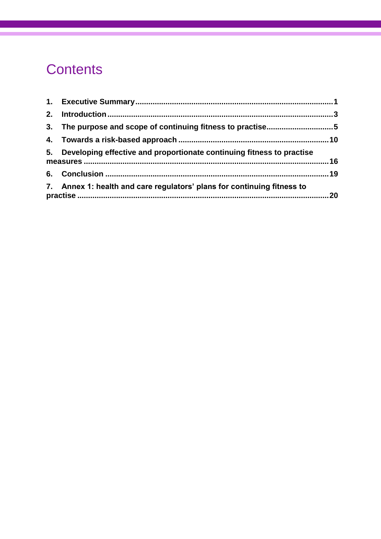# **Contents**

| 3. The purpose and scope of continuing fitness to practise5              |  |
|--------------------------------------------------------------------------|--|
|                                                                          |  |
| 5. Developing effective and proportionate continuing fitness to practise |  |
|                                                                          |  |
| 7. Annex 1: health and care regulators' plans for continuing fitness to  |  |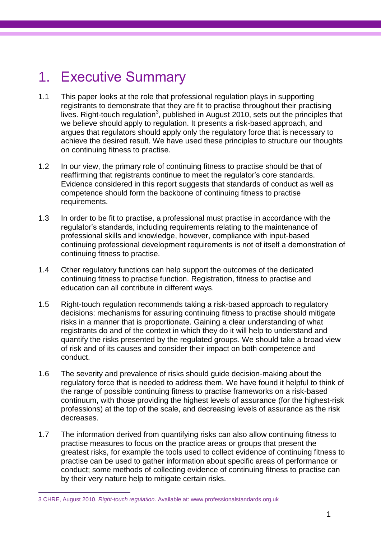# 1. Executive Summary

- 1.1 This paper looks at the role that professional regulation plays in supporting registrants to demonstrate that they are fit to practise throughout their practising lives. Right-touch regulation<sup>3</sup>, published in August 2010, sets out the principles that we believe should apply to regulation. It presents a risk-based approach, and argues that regulators should apply only the regulatory force that is necessary to achieve the desired result. We have used these principles to structure our thoughts on continuing fitness to practise.
- 1.2 In our view, the primary role of continuing fitness to practise should be that of reaffirming that registrants continue to meet the regulator's core standards. Evidence considered in this report suggests that standards of conduct as well as competence should form the backbone of continuing fitness to practise requirements.
- 1.3 In order to be fit to practise, a professional must practise in accordance with the regulator"s standards, including requirements relating to the maintenance of professional skills and knowledge, however, compliance with input-based continuing professional development requirements is not of itself a demonstration of continuing fitness to practise.
- 1.4 Other regulatory functions can help support the outcomes of the dedicated continuing fitness to practise function. Registration, fitness to practise and education can all contribute in different ways.
- 1.5 Right-touch regulation recommends taking a risk-based approach to regulatory decisions: mechanisms for assuring continuing fitness to practise should mitigate risks in a manner that is proportionate. Gaining a clear understanding of what registrants do and of the context in which they do it will help to understand and quantify the risks presented by the regulated groups. We should take a broad view of risk and of its causes and consider their impact on both competence and conduct.
- 1.6 The severity and prevalence of risks should guide decision-making about the regulatory force that is needed to address them. We have found it helpful to think of the range of possible continuing fitness to practise frameworks on a risk-based continuum, with those providing the highest levels of assurance (for the highest-risk professions) at the top of the scale, and decreasing levels of assurance as the risk decreases.
- 1.7 The information derived from quantifying risks can also allow continuing fitness to practise measures to focus on the practice areas or groups that present the greatest risks, for example the tools used to collect evidence of continuing fitness to practise can be used to gather information about specific areas of performance or conduct; some methods of collecting evidence of continuing fitness to practise can by their very nature help to mitigate certain risks.

 $\overline{a}$ 

<sup>3</sup> CHRE, August 2010. *Right-touch regulation*. Available at: [www.professionalstandards.org.uk](http://www.professionalstandards.org.uk/)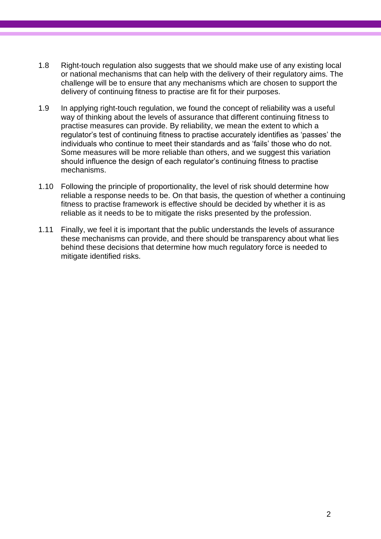- 1.8 Right-touch regulation also suggests that we should make use of any existing local or national mechanisms that can help with the delivery of their regulatory aims. The challenge will be to ensure that any mechanisms which are chosen to support the delivery of continuing fitness to practise are fit for their purposes.
- 1.9 In applying right-touch regulation, we found the concept of reliability was a useful way of thinking about the levels of assurance that different continuing fitness to practise measures can provide. By reliability, we mean the extent to which a regulator"s test of continuing fitness to practise accurately identifies as "passes" the individuals who continue to meet their standards and as "fails" those who do not. Some measures will be more reliable than others, and we suggest this variation should influence the design of each regulator"s continuing fitness to practise mechanisms.
- 1.10 Following the principle of proportionality, the level of risk should determine how reliable a response needs to be. On that basis, the question of whether a continuing fitness to practise framework is effective should be decided by whether it is as reliable as it needs to be to mitigate the risks presented by the profession.
- 1.11 Finally, we feel it is important that the public understands the levels of assurance these mechanisms can provide, and there should be transparency about what lies behind these decisions that determine how much regulatory force is needed to mitigate identified risks.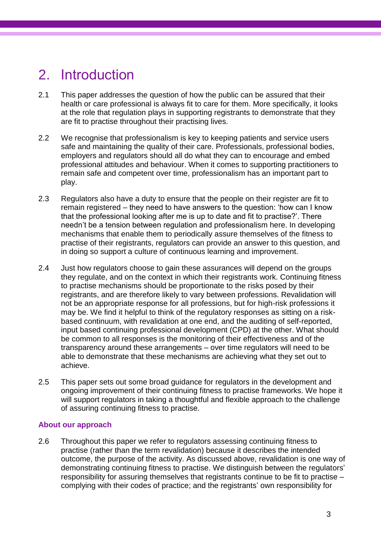# 2. Introduction

- 2.1 This paper addresses the question of how the public can be assured that their health or care professional is always fit to care for them. More specifically, it looks at the role that regulation plays in supporting registrants to demonstrate that they are fit to practise throughout their practising lives.
- 2.2 We recognise that professionalism is key to keeping patients and service users safe and maintaining the quality of their care. Professionals, professional bodies, employers and regulators should all do what they can to encourage and embed professional attitudes and behaviour. When it comes to supporting practitioners to remain safe and competent over time, professionalism has an important part to play.
- 2.3 Regulators also have a duty to ensure that the people on their register are fit to remain registered – they need to have answers to the question: "how can I know that the professional looking after me is up to date and fit to practise?". There needn"t be a tension between regulation and professionalism here. In developing mechanisms that enable them to periodically assure themselves of the fitness to practise of their registrants, regulators can provide an answer to this question, and in doing so support a culture of continuous learning and improvement.
- 2.4 Just how regulators choose to gain these assurances will depend on the groups they regulate, and on the context in which their registrants work. Continuing fitness to practise mechanisms should be proportionate to the risks posed by their registrants, and are therefore likely to vary between professions. Revalidation will not be an appropriate response for all professions, but for high-risk professions it may be. We find it helpful to think of the regulatory responses as sitting on a riskbased continuum, with revalidation at one end, and the auditing of self-reported, input based continuing professional development (CPD) at the other. What should be common to all responses is the monitoring of their effectiveness and of the transparency around these arrangements – over time regulators will need to be able to demonstrate that these mechanisms are achieving what they set out to achieve.
- 2.5 This paper sets out some broad guidance for regulators in the development and ongoing improvement of their continuing fitness to practise frameworks. We hope it will support regulators in taking a thoughtful and flexible approach to the challenge of assuring continuing fitness to practise.

#### **About our approach**

2.6 Throughout this paper we refer to regulators assessing continuing fitness to practise (rather than the term revalidation) because it describes the intended outcome, the purpose of the activity. As discussed above, revalidation is one way of demonstrating continuing fitness to practise. We distinguish between the regulators" responsibility for assuring themselves that registrants continue to be fit to practise – complying with their codes of practice; and the registrants" own responsibility for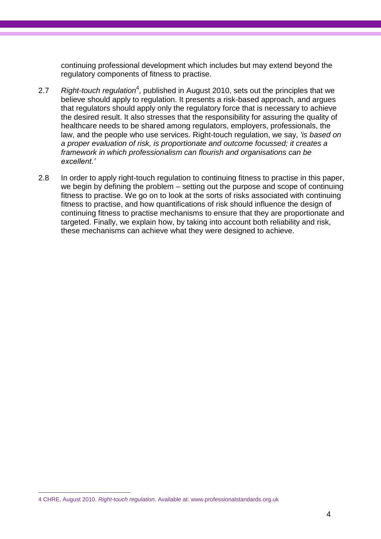continuing professional development which includes but may extend beyond the regulatory components of fitness to practise.

- 2.7 Right-touch regulation<sup>4</sup>, published in August 2010, sets out the principles that we believe should apply to regulation. It presents a risk-based approach, and argues that regulators should apply only the regulatory force that is necessary to achieve the desired result. It also stresses that the responsibility for assuring the quality of healthcare needs to be shared among regulators, employers, professionals, the law, and the people who use services. Right-touch regulation, we say, *'is based on a proper evaluation of risk, is proportionate and outcome focussed; it creates a framework in which professionalism can flourish and organisations can be excellent.'*
- 2.8 In order to apply right-touch regulation to continuing fitness to practise in this paper, we begin by defining the problem – setting out the purpose and scope of continuing fitness to practise. We go on to look at the sorts of risks associated with continuing fitness to practise, and how quantifications of risk should influence the design of continuing fitness to practise mechanisms to ensure that they are proportionate and targeted. Finally, we explain how, by taking into account both reliability and risk, these mechanisms can achieve what they were designed to achieve.

 $\overline{a}$ 

<sup>4</sup> CHRE, August 2010. *Right-touch regulation*. Available at: [www.professionalstandards.org.uk](http://www.professionalstandards.org.uk/)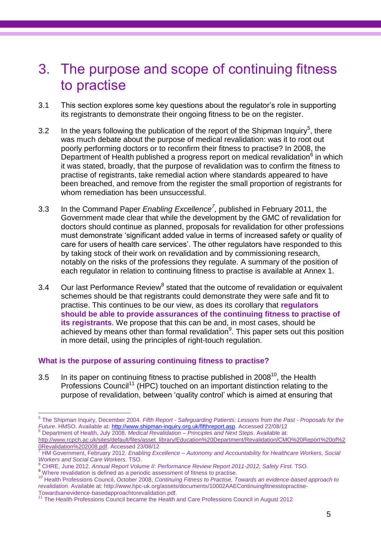# 3. The purpose and scope of continuing fitness to practise

- 3.1 This section explores some key questions about the regulator"s role in supporting its registrants to demonstrate their ongoing fitness to be on the register.
- 3.2 In the years following the publication of the report of the Shipman Inquiry<sup>5</sup>, there was much debate about the purpose of medical revalidation: was it to root out poorly performing doctors or to reconfirm their fitness to practise? In 2008, the Department of Health published a progress report on medical revalidation $^6$  in which it was stated, broadly, that the purpose of revalidation was to confirm the fitness to practise of registrants, take remedial action where standards appeared to have been breached, and remove from the register the small proportion of registrants for whom remediation has been unsuccessful.
- 3.3 In the Command Paper *Enabling Excellence<sup>7</sup> ,* published in February 2011, the Government made clear that while the development by the GMC of revalidation for doctors should continue as planned, proposals for revalidation for other professions must demonstrate "significant added value in terms of increased safety or quality of care for users of health care services'. The other regulators have responded to this by taking stock of their work on revalidation and by commissioning research, notably on the risks of the professions they regulate. A summary of the position of each regulator in relation to continuing fitness to practise is available at Annex 1.
- 3.4 Our last Performance Review $<sup>8</sup>$  stated that the outcome of revalidation or equivalent</sup> schemes should be that registrants could demonstrate they were safe and fit to practise. This continues to be our view, as does its corollary that **regulators should be able to provide assurances of the continuing fitness to practise of its registrants**. We propose that this can be and, in most cases, should be achieved by means other than formal revalidation<sup>9</sup>. This paper sets out this position in more detail, using the principles of right-touch regulation.

#### **What is the purpose of assuring continuing fitness to practise?**

3.5 In its paper on continuing fitness to practise published in 2008 $^{10}$ , the Health Professions Council<sup>11</sup> (HPC) touched on an important distinction relating to the purpose of revalidation, between "quality control" which is aimed at ensuring that

 5 The Shipman Inquiry, December 2004. *Fifth Report - Safeguarding Patients: Lessons from the Past - Proposals for the Future*. HMSO. Available at[: http://www.shipman-inquiry.org.uk/fifthreport.asp.](http://www.shipman-inquiry.org.uk/fifthreport.asp) Accessed 22/08/12

<sup>6</sup> Department of Health, July 2008. *Medical Revalidation – Principles and Next Steps*. Available at: [http://www.rcpch.ac.uk/sites/default/files/asset\\_library/Education%20Department/Revalidation/CMO%20Report%20of%2](http://www.rcpch.ac.uk/sites/default/files/asset_library/Education%20Department/Revalidation/CMO%20Report%20of%20Revalidation%202008.pdf) [0Revalidation%202008.pdf.](http://www.rcpch.ac.uk/sites/default/files/asset_library/Education%20Department/Revalidation/CMO%20Report%20of%20Revalidation%202008.pdf) Accessed 23/08/12

<sup>7</sup> HM Government, February 2012. *Enabling Excellence – Autonomy and Accountability for Healthcare Workers, Social Workers and Social Care Workers*. TSO.

<sup>8</sup> CHRE, June 2012. *Annual Report Volume II: Performance Review Report 2011-2012, Safety First.* TSO.

<sup>9</sup> Where revalidation is defined as a periodic assessment of fitness to practise.

<sup>10</sup> Health Professions Council, October 2008, *Continuing Fitness to Practise, Towards an evidence-based approach to revalidation*. Available at[: http://www.hpc-uk.org/assets/documents/10002AAEContinuingfitnesstopractise-](http://www.hpc-uk.org/assets/documents/10002AAEContinuingfitnesstopractise-Towardsanevidence-basedapproachtorevalidation.pdf)[Towardsanevidence-basedapproachtorevalidation.pdf.](http://www.hpc-uk.org/assets/documents/10002AAEContinuingfitnesstopractise-Towardsanevidence-basedapproachtorevalidation.pdf)

<sup>&</sup>lt;sup>11</sup> The Health Professions Council became the Health and Care Professions Council in August 2012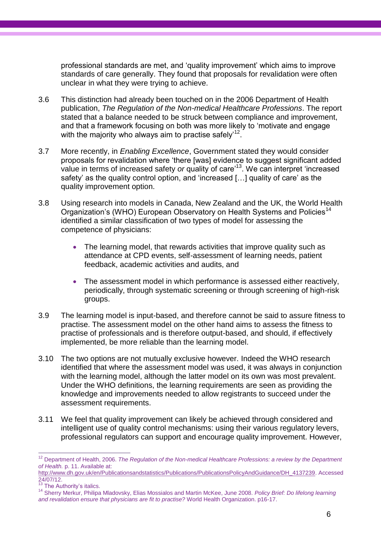professional standards are met, and "quality improvement" which aims to improve standards of care generally. They found that proposals for revalidation were often unclear in what they were trying to achieve.

- 3.6 This distinction had already been touched on in the 2006 Department of Health publication, *The Regulation of the Non-medical Healthcare Professions*. The report stated that a balance needed to be struck between compliance and improvement, and that a framework focusing on both was more likely to "motivate and engage with the majority who always aim to practise safely'<sup>12</sup>.
- 3.7 More recently, in *Enabling Excellence*, Government stated they would consider proposals for revalidation where "there [was] evidence to suggest significant added value in terms of increased safety *or* quality of care<sup>13</sup>. We can interpret 'increased safety' as the quality control option, and 'increased [...] quality of care' as the quality improvement option.
- 3.8 Using research into models in Canada, New Zealand and the UK, the World Health Organization's (WHO) European Observatory on Health Systems and Policies<sup>14</sup> identified a similar classification of two types of model for assessing the competence of physicians:
	- The learning model, that rewards activities that improve quality such as attendance at CPD events, self-assessment of learning needs, patient feedback, academic activities and audits, and
	- The assessment model in which performance is assessed either reactively, periodically, through systematic screening or through screening of high-risk groups.
- 3.9 The learning model is input-based, and therefore cannot be said to assure fitness to practise. The assessment model on the other hand aims to assess the fitness to practise of professionals and is therefore output-based, and should, if effectively implemented, be more reliable than the learning model.
- 3.10 The two options are not mutually exclusive however. Indeed the WHO research identified that where the assessment model was used, it was always in conjunction with the learning model, although the latter model on its own was most prevalent. Under the WHO definitions, the learning requirements are seen as providing the knowledge and improvements needed to allow registrants to succeed under the assessment requirements.
- 3.11 We feel that quality improvement can likely be achieved through considered and intelligent use of quality control mechanisms: using their various regulatory levers, professional regulators can support and encourage quality improvement. However,

 $\overline{a}$ 

<sup>&</sup>lt;sup>12</sup> Department of Health, 2006. *The Regulation of the Non-medical Healthcare Professions: a review by the Department of Health.* p. 11. Available at:

[http://www.dh.gov.uk/en/Publicationsandstatistics/Publications/PublicationsPolicyAndGuidance/DH\\_4137239.](http://www.dh.gov.uk/en/Publicationsandstatistics/Publications/PublicationsPolicyAndGuidance/DH_4137239) Accessed 24/07/12.

<sup>&</sup>lt;sup>13</sup> The Authority's italics.

<sup>14</sup> Sherry Merkur, Philipa Mladovsky, Elias Mossialos and Martin McKee, June 2008. *Policy Brief: Do lifelong learning and revalidation ensure that physicians are fit to practise?* World Health Organization. p16-17.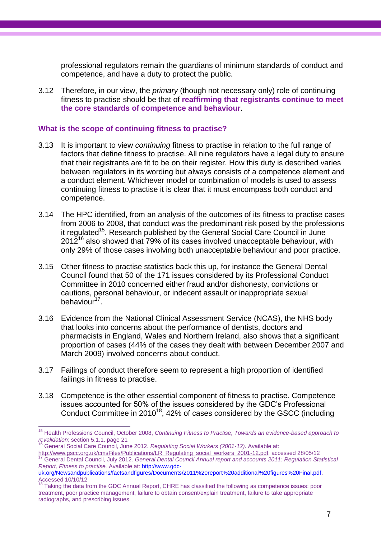professional regulators remain the guardians of minimum standards of conduct and competence, and have a duty to protect the public.

3.12 Therefore, in our view, the *primary* (though not necessary only) role of continuing fitness to practise should be that of **reaffirming that registrants continue to meet the core standards of competence and behaviour**.

#### **What is the scope of continuing fitness to practise?**

- 3.13 It is important to view *continuing* fitness to practise in relation to the full range of factors that define fitness to practise. All nine regulators have a legal duty to ensure that their registrants are fit to be on their register. How this duty is described varies between regulators in its wording but always consists of a competence element and a conduct element. Whichever model or combination of models is used to assess continuing fitness to practise it is clear that it must encompass both conduct and competence.
- 3.14 The HPC identified, from an analysis of the outcomes of its fitness to practise cases from 2006 to 2008, that conduct was the predominant risk posed by the professions it regulated<sup>15</sup>. Research published by the General Social Care Council in June  $2012^{16}$  also showed that 79% of its cases involved unacceptable behaviour, with only 29% of those cases involving both unacceptable behaviour and poor practice.
- 3.15 Other fitness to practise statistics back this up, for instance the General Dental Council found that 50 of the 171 issues considered by its Professional Conduct Committee in 2010 concerned either fraud and/or dishonesty, convictions or cautions, personal behaviour, or indecent assault or inappropriate sexual behaviour<sup>17</sup>.
- 3.16 Evidence from the National Clinical Assessment Service (NCAS), the NHS body that looks into concerns about the performance of dentists, doctors and pharmacists in England, Wales and Northern Ireland, also shows that a significant proportion of cases (44% of the cases they dealt with between December 2007 and March 2009) involved concerns about conduct.
- 3.17 Failings of conduct therefore seem to represent a high proportion of identified failings in fitness to practise.
- 3.18 Competence is the other essential component of fitness to practise. Competence issues accounted for 50% of the issues considered by the GDC"s Professional Conduct Committee in 2010<sup>18</sup>, 42% of cases considered by the GSCC (including

 $\frac{1}{2}$ 

<sup>15</sup> Health Professions Council, October 2008, *Continuing Fitness to Practise, Towards an evidence-based approach to revalidation*; section 5.1.1, page 21

<sup>16</sup> General Social Care Council, June 2012. *Regulating Social Workers (2001-12)*. Available at:

[http://www.gscc.org.uk/cmsFiles/Publications/LR\\_Regulating\\_social\\_workers\\_2001-12.pdf;](http://www.gscc.org.uk/cmsFiles/Publications/LR_Regulating_social_workers_2001-12.pdf) accessed 28/05/12 <sup>17</sup> General Dental Council, July 2012. *General Dental Council Annual report and accounts 2011: Regulation Statistical Report, Fitness to practise.* Available at[: http://www.gdc-](http://www.gdc-uk.org/Newsandpublications/factsandfigures/Documents/2011%20report%20additional%20figures%20Final.pdf)

[uk.org/Newsandpublications/factsandfigures/Documents/2011%20report%20additional%20figures%20Final.pdf.](http://www.gdc-uk.org/Newsandpublications/factsandfigures/Documents/2011%20report%20additional%20figures%20Final.pdf) Accessed 10/10/12

<sup>18</sup> Taking the data from the GDC Annual Report, CHRE has classified the following as competence issues: poor treatment, poor practice management, failure to obtain consent/explain treatment, failure to take appropriate radiographs, and prescribing issues.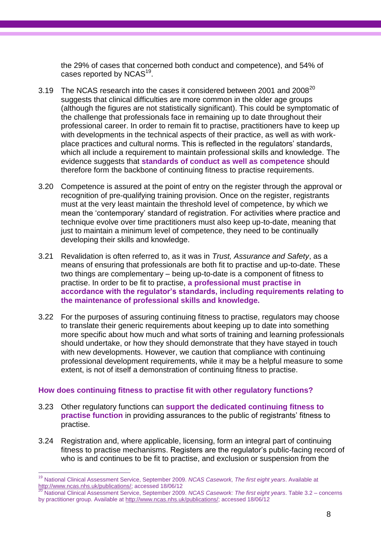the 29% of cases that concerned both conduct and competence), and 54% of cases reported by NCAS $^{19}$ .

- 3.19 The NCAS research into the cases it considered between 2001 and  $2008^{20}$ suggests that clinical difficulties are more common in the older age groups (although the figures are not statistically significant). This could be symptomatic of the challenge that professionals face in remaining up to date throughout their professional career. In order to remain fit to practise, practitioners have to keep up with developments in the technical aspects of their practice, as well as with workplace practices and cultural norms. This is reflected in the regulators" standards, which all include a requirement to maintain professional skills and knowledge. The evidence suggests that **standards of conduct as well as competence** should therefore form the backbone of continuing fitness to practise requirements.
- 3.20 Competence is assured at the point of entry on the register through the approval or recognition of pre-qualifying training provision. Once on the register, registrants must at the very least maintain the threshold level of competence, by which we mean the "contemporary" standard of registration. For activities where practice and technique evolve over time practitioners must also keep up-to-date, meaning that just to maintain a minimum level of competence, they need to be continually developing their skills and knowledge.
- 3.21 Revalidation is often referred to, as it was in *Trust, Assurance and Safety*, as a means of ensuring that professionals are both fit to practise and up-to-date. These two things are complementary – being up-to-date is a component of fitness to practise. In order to be fit to practise, **a professional must practise in accordance with the regulator's standards, including requirements relating to the maintenance of professional skills and knowledge.**
- 3.22 For the purposes of assuring continuing fitness to practise, regulators may choose to translate their generic requirements about keeping up to date into something more specific about how much and what sorts of training and learning professionals should undertake, or how they should demonstrate that they have stayed in touch with new developments. However, we caution that compliance with continuing professional development requirements, while it may be a helpful measure to some extent, is not of itself a demonstration of continuing fitness to practise.

#### **How does continuing fitness to practise fit with other regulatory functions?**

- 3.23 Other regulatory functions can **support the dedicated continuing fitness to practise function** in providing assurances to the public of registrants' fitness to practise.
- 3.24 Registration and, where applicable, licensing, form an integral part of continuing fitness to practise mechanisms. Registers are the regulator"s public-facing record of who is and continues to be fit to practise, and exclusion or suspension from the

 $\frac{1}{2}$ <sup>19</sup> National Clinical Assessment Service, September 2009. *NCAS Casework, The first eight years*. Available at [http://www.ncas.nhs.uk/publications/;](http://www.ncas.nhs.uk/publications/) accessed 18/06/12

<sup>20</sup> National Clinical Assessment Service, September 2009. *NCAS Casework: The first eight years*. Table 3.2 – concerns by practitioner group. Available at [http://www.ncas.nhs.uk/publications/;](http://www.ncas.nhs.uk/publications/) accessed 18/06/12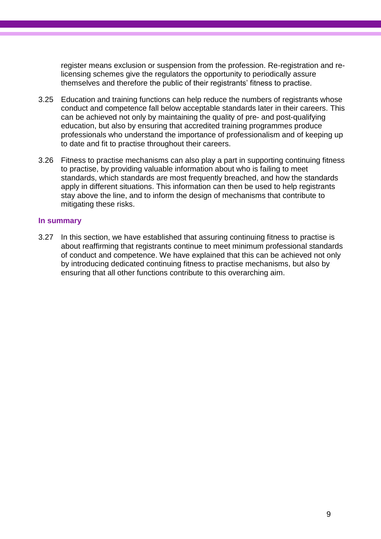register means exclusion or suspension from the profession. Re-registration and relicensing schemes give the regulators the opportunity to periodically assure themselves and therefore the public of their registrants' fitness to practise.

- 3.25 Education and training functions can help reduce the numbers of registrants whose conduct and competence fall below acceptable standards later in their careers. This can be achieved not only by maintaining the quality of pre- and post-qualifying education, but also by ensuring that accredited training programmes produce professionals who understand the importance of professionalism and of keeping up to date and fit to practise throughout their careers.
- 3.26 Fitness to practise mechanisms can also play a part in supporting continuing fitness to practise, by providing valuable information about who is failing to meet standards, which standards are most frequently breached, and how the standards apply in different situations. This information can then be used to help registrants stay above the line, and to inform the design of mechanisms that contribute to mitigating these risks.

#### **In summary**

3.27 In this section, we have established that assuring continuing fitness to practise is about reaffirming that registrants continue to meet minimum professional standards of conduct and competence. We have explained that this can be achieved not only by introducing dedicated continuing fitness to practise mechanisms, but also by ensuring that all other functions contribute to this overarching aim.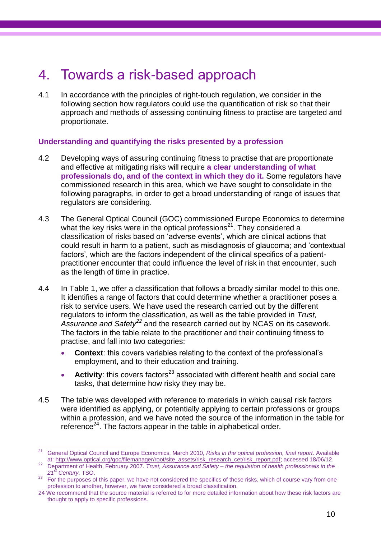# 4. Towards a risk-based approach

4.1 In accordance with the principles of right-touch regulation, we consider in the following section how regulators could use the quantification of risk so that their approach and methods of assessing continuing fitness to practise are targeted and proportionate.

#### **Understanding and quantifying the risks presented by a profession**

- 4.2 Developing ways of assuring continuing fitness to practise that are proportionate and effective at mitigating risks will require **a clear understanding of what professionals do, and of the context in which they do it.** Some regulators have commissioned research in this area, which we have sought to consolidate in the following paragraphs, in order to get a broad understanding of range of issues that regulators are considering.
- 4.3 The General Optical Council (GOC) commissioned Europe Economics to determine what the key risks were in the optical professions<sup>21</sup>. They considered a classification of risks based on "adverse events", which are clinical actions that could result in harm to a patient, such as misdiagnosis of glaucoma; and "contextual factors', which are the factors independent of the clinical specifics of a patientpractitioner encounter that could influence the level of risk in that encounter, such as the length of time in practice.
- 4.4 In Table 1, we offer a classification that follows a broadly similar model to this one. It identifies a range of factors that could determine whether a practitioner poses a risk to service users. We have used the research carried out by the different regulators to inform the classification, as well as the table provided in *Trust, Assurance and Safety<sup>22</sup>* and the research carried out by NCAS on its casework. The factors in the table relate to the practitioner and their continuing fitness to practise, and fall into two categories:
	- **Context**: this covers variables relating to the context of the professional"s employment, and to their education and training.
	- **Activity**: this covers factors<sup>23</sup> associated with different health and social care tasks, that determine how risky they may be.
- 4.5 The table was developed with reference to materials in which causal risk factors were identified as applying, or potentially applying to certain professions or groups within a profession, and we have noted the source of the information in the table for reference $^{24}$ . The factors appear in the table in alphabetical order.

 $\frac{1}{2}$ <sup>21</sup> General Optical Council and Europe Economics, March 2010, *Risks in the optical profession, final report*. Available at[: http://www.optical.org/goc/filemanager/root/site\\_assets/risk\\_research\\_cet/risk\\_report.pdf;](http://www.optical.org/goc/filemanager/root/site_assets/risk_research_cet/risk_report.pdf) accessed 18/06/12.

<sup>22</sup> Department of Health, February 2007. *Trust, Assurance and Safety – the regulation of health professionals in the 21st Century.* TSO.

<sup>&</sup>lt;sup>23</sup> For the purposes of this paper, we have not considered the specifics of these risks, which of course vary from one profession to another, however, we have considered a broad classification.

<sup>24</sup> We recommend that the source material is referred to for more detailed information about how these risk factors are thought to apply to specific professions.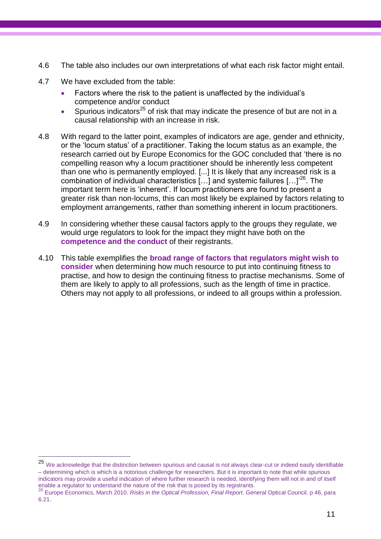- 4.6 The table also includes our own interpretations of what each risk factor might entail.
- 4.7 We have excluded from the table:

 $\overline{a}$ 

- Factors where the risk to the patient is unaffected by the individual"s competence and/or conduct
- Spurious indicators<sup>25</sup> of risk that may indicate the presence of but are not in a causal relationship with an increase in risk.
- 4.8 With regard to the latter point, examples of indicators are age, gender and ethnicity, or the "locum status" of a practitioner. Taking the locum status as an example, the research carried out by Europe Economics for the GOC concluded that "there is no compelling reason why a locum practitioner should be inherently less competent than one who is permanently employed. [...] It is likely that any increased risk is a combination of individual characteristics  $[...]$  and systemic failures  $[...]^{26}$ . The important term here is "inherent". If locum practitioners are found to present a greater risk than non-locums, this can most likely be explained by factors relating to employment arrangements, rather than something inherent in locum practitioners.
- 4.9 In considering whether these causal factors apply to the groups they regulate, we would urge regulators to look for the impact they might have both on the **competence and the conduct** of their registrants.
- 4.10 This table exemplifies the **broad range of factors that regulators might wish to consider** when determining how much resource to put into continuing fitness to practise, and how to design the continuing fitness to practise mechanisms. Some of them are likely to apply to all professions, such as the length of time in practice. Others may not apply to all professions, or indeed to all groups within a profession.

<sup>25</sup> We acknowledge that the distinction between spurious and causal is not always clear-cut or indeed easily identifiable – determining which is which is a notorious challenge for researchers. But it is important to note that while spurious indicators may provide a useful indication of where further research is needed, identifying them will not in and of itself enable a regulator to understand the nature of the risk that is posed by its registrants.

<sup>26</sup> Europe Economics, March 2010. *Risks in the Optical Profession, Final Report*. General Optical Council. p 46, para 6.21.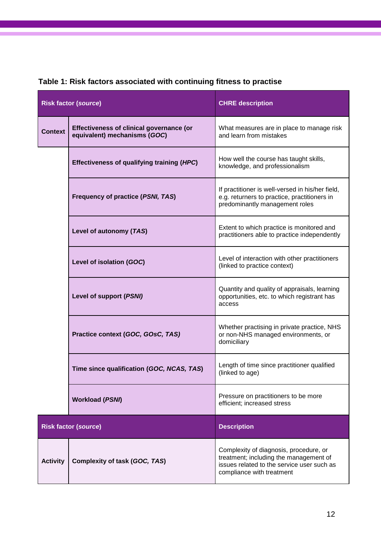|                             | <b>Risk factor (source)</b>                                              | <b>CHRE</b> description                                                                                                                                     |
|-----------------------------|--------------------------------------------------------------------------|-------------------------------------------------------------------------------------------------------------------------------------------------------------|
| <b>Context</b>              | Effectiveness of clinical governance (or<br>equivalent) mechanisms (GOC) | What measures are in place to manage risk<br>and learn from mistakes                                                                                        |
|                             | Effectiveness of qualifying training (HPC)                               | How well the course has taught skills,<br>knowledge, and professionalism                                                                                    |
|                             | Frequency of practice (PSNI, TAS)                                        | If practitioner is well-versed in his/her field,<br>e.g. returners to practice, practitioners in<br>predominantly management roles                          |
|                             | Level of autonomy (TAS)                                                  | Extent to which practice is monitored and<br>practitioners able to practice independently                                                                   |
|                             | Level of isolation (GOC)                                                 | Level of interaction with other practitioners<br>(linked to practice context)                                                                               |
|                             | Level of support (PSNI)                                                  | Quantity and quality of appraisals, learning<br>opportunities, etc. to which registrant has<br>access                                                       |
|                             | Practice context (GOC, GOsC, TAS)                                        | Whether practising in private practice, NHS<br>or non-NHS managed environments, or<br>domiciliary                                                           |
|                             | Time since qualification (GOC, NCAS, TAS)                                | Length of time since practitioner qualified<br>(linked to age)                                                                                              |
|                             | <b>Workload (PSNI)</b>                                                   | Pressure on practitioners to be more<br>efficient; increased stress                                                                                         |
| <b>Risk factor (source)</b> |                                                                          | <b>Description</b>                                                                                                                                          |
| <b>Activity</b>             | Complexity of task (GOC, TAS)                                            | Complexity of diagnosis, procedure, or<br>treatment; including the management of<br>issues related to the service user such as<br>compliance with treatment |

# **Table 1: Risk factors associated with continuing fitness to practise**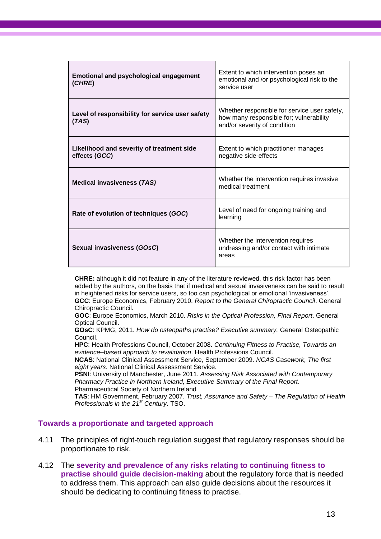| <b>Emotional and psychological engagement</b><br>(CHRE)    | Extent to which intervention poses an<br>emotional and /or psychological risk to the<br>service user                    |
|------------------------------------------------------------|-------------------------------------------------------------------------------------------------------------------------|
| Level of responsibility for service user safety<br>(TAS)   | Whether responsible for service user safety,<br>how many responsible for; vulnerability<br>and/or severity of condition |
| Likelihood and severity of treatment side<br>effects (GCC) | Extent to which practitioner manages<br>negative side-effects                                                           |
| <b>Medical invasiveness (TAS)</b>                          | Whether the intervention requires invasive<br>medical treatment                                                         |
| Rate of evolution of techniques (GOC)                      | Level of need for ongoing training and<br>learning                                                                      |
| Sexual invasiveness (GOsC)                                 | Whether the intervention requires<br>undressing and/or contact with intimate<br>areas                                   |

**CHRE:** although it did not feature in any of the literature reviewed, this risk factor has been added by the authors, on the basis that if medical and sexual invasiveness can be said to result in heightened risks for service users, so too can psychological or emotional "invasiveness". **GCC**: Europe Economics, February 2010. *Report to the General Chiropractic Council*. General Chiropractic Council.

**GOC**: Europe Economics, March 2010. *Risks in the Optical Profession, Final Report*. General Optical Council.

**GOsC**: KPMG, 2011. *How do osteopaths practise? Executive summary.* General Osteopathic Council.

**HPC**: Health Professions Council, October 2008. *Continuing Fitness to Practise, Towards an evidence–based approach to revalidation*. Health Professions Council.

**NCAS**: National Clinical Assessment Service, September 2009. *NCAS Casework, The first eight years*. National Clinical Assessment Service.

**PSNI**: University of Manchester, June 2011. *Assessing Risk Associated with Contemporary Pharmacy Practice in Northern Ireland, Executive Summary of the Final Report*. Pharmaceutical Society of Northern Ireland

**TAS**: HM Government, February 2007. *Trust, Assurance and Safety – The Regulation of Health Professionals in the 21st Century*. TSO.

#### **Towards a proportionate and targeted approach**

- 4.11 The principles of right-touch regulation suggest that regulatory responses should be proportionate to risk.
- 4.12 The **severity and prevalence of any risks relating to continuing fitness to practise should guide decision-making** about the regulatory force that is needed to address them. This approach can also guide decisions about the resources it should be dedicating to continuing fitness to practise.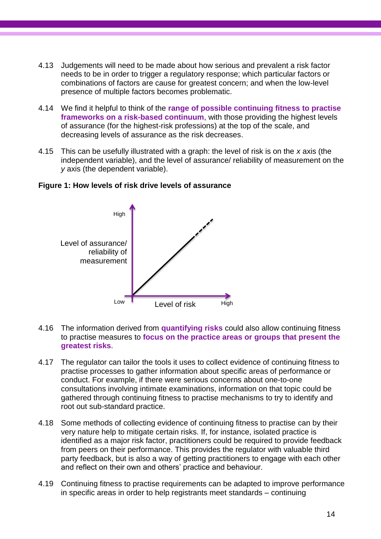- 4.13 Judgements will need to be made about how serious and prevalent a risk factor needs to be in order to trigger a regulatory response; which particular factors or combinations of factors are cause for greatest concern; and when the low-level presence of multiple factors becomes problematic.
- 4.14 We find it helpful to think of the **range of possible continuing fitness to practise frameworks on a risk-based continuum**, with those providing the highest levels of assurance (for the highest-risk professions) at the top of the scale, and decreasing levels of assurance as the risk decreases.
- 4.15 This can be usefully illustrated with a graph: the level of risk is on the *x* axis (the independent variable), and the level of assurance/ reliability of measurement on the *y* axis (the dependent variable).



#### **Figure 1: How levels of risk drive levels of assurance**

- 4.16 The information derived from **quantifying risks** could also allow continuing fitness to practise measures to **focus on the practice areas or groups that present the greatest risks**.
- 4.17 The regulator can tailor the tools it uses to collect evidence of continuing fitness to practise processes to gather information about specific areas of performance or conduct. For example, if there were serious concerns about one-to-one consultations involving intimate examinations, information on that topic could be gathered through continuing fitness to practise mechanisms to try to identify and root out sub-standard practice.
- 4.18 Some methods of collecting evidence of continuing fitness to practise can by their very nature help to mitigate certain risks. If, for instance, isolated practice is identified as a major risk factor, practitioners could be required to provide feedback from peers on their performance. This provides the regulator with valuable third party feedback, but is also a way of getting practitioners to engage with each other and reflect on their own and others" practice and behaviour.
- 4.19 Continuing fitness to practise requirements can be adapted to improve performance in specific areas in order to help registrants meet standards – continuing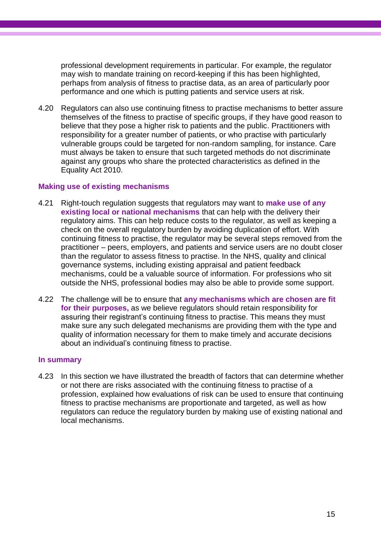professional development requirements in particular. For example, the regulator may wish to mandate training on record-keeping if this has been highlighted, perhaps from analysis of fitness to practise data, as an area of particularly poor performance and one which is putting patients and service users at risk.

4.20 Regulators can also use continuing fitness to practise mechanisms to better assure themselves of the fitness to practise of specific groups, if they have good reason to believe that they pose a higher risk to patients and the public. Practitioners with responsibility for a greater number of patients, or who practise with particularly vulnerable groups could be targeted for non-random sampling, for instance. Care must always be taken to ensure that such targeted methods do not discriminate against any groups who share the protected characteristics as defined in the Equality Act 2010.

#### **Making use of existing mechanisms**

- 4.21 Right-touch regulation suggests that regulators may want to **make use of any existing local or national mechanisms** that can help with the delivery their regulatory aims. This can help reduce costs to the regulator, as well as keeping a check on the overall regulatory burden by avoiding duplication of effort. With continuing fitness to practise, the regulator may be several steps removed from the practitioner – peers, employers, and patients and service users are no doubt closer than the regulator to assess fitness to practise. In the NHS, quality and clinical governance systems, including existing appraisal and patient feedback mechanisms, could be a valuable source of information. For professions who sit outside the NHS, professional bodies may also be able to provide some support.
- 4.22 The challenge will be to ensure that **any mechanisms which are chosen are fit for their purposes,** as we believe regulators should retain responsibility for assuring their registrant's continuing fitness to practise. This means they must make sure any such delegated mechanisms are providing them with the type and quality of information necessary for them to make timely and accurate decisions about an individual"s continuing fitness to practise.

#### **In summary**

4.23 In this section we have illustrated the breadth of factors that can determine whether or not there are risks associated with the continuing fitness to practise of a profession, explained how evaluations of risk can be used to ensure that continuing fitness to practise mechanisms are proportionate and targeted, as well as how regulators can reduce the regulatory burden by making use of existing national and local mechanisms.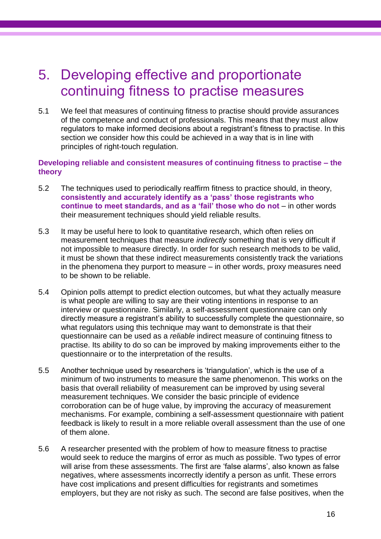# 5. Developing effective and proportionate continuing fitness to practise measures

5.1 We feel that measures of continuing fitness to practise should provide assurances of the competence and conduct of professionals. This means that they must allow regulators to make informed decisions about a registrant"s fitness to practise. In this section we consider how this could be achieved in a way that is in line with principles of right-touch regulation.

#### **Developing reliable and consistent measures of continuing fitness to practise – the theory**

- 5.2 The techniques used to periodically reaffirm fitness to practice should, in theory, **consistently and accurately identify as a 'pass' those registrants who continue to meet standards, and as a 'fail' those who do not** – in other words their measurement techniques should yield reliable results.
- 5.3 It may be useful here to look to quantitative research, which often relies on measurement techniques that measure *indirectly* something that is very difficult if not impossible to measure directly. In order for such research methods to be valid, it must be shown that these indirect measurements consistently track the variations in the phenomena they purport to measure – in other words, proxy measures need to be shown to be reliable.
- 5.4 Opinion polls attempt to predict election outcomes, but what they actually measure is what people are willing to say are their voting intentions in response to an interview or questionnaire. Similarly, a self-assessment questionnaire can only directly measure a registrant's ability to successfully complete the questionnaire, so what regulators using this technique may want to demonstrate is that their questionnaire can be used as a *reliable* indirect measure of continuing fitness to practise. Its ability to do so can be improved by making improvements either to the questionnaire or to the interpretation of the results.
- 5.5 Another technique used by researchers is "triangulation", which is the use of a minimum of two instruments to measure the same phenomenon. This works on the basis that overall reliability of measurement can be improved by using several measurement techniques. We consider the basic principle of evidence corroboration can be of huge value, by improving the accuracy of measurement mechanisms. For example, combining a self-assessment questionnaire with patient feedback is likely to result in a more reliable overall assessment than the use of one of them alone.
- 5.6 A researcher presented with the problem of how to measure fitness to practise would seek to reduce the margins of error as much as possible. Two types of error will arise from these assessments. The first are 'false alarms', also known as false negatives, where assessments incorrectly identify a person as unfit. These errors have cost implications and present difficulties for registrants and sometimes employers, but they are not risky as such. The second are false positives, when the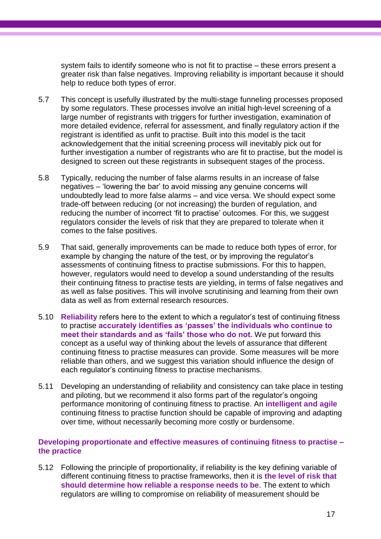system fails to identify someone who is not fit to practise – these errors present a greater risk than false negatives. Improving reliability is important because it should help to reduce both types of error.

- 5.7 This concept is usefully illustrated by the multi-stage funneling processes proposed by some regulators. These processes involve an initial high-level screening of a large number of registrants with triggers for further investigation, examination of more detailed evidence, referral for assessment, and finally regulatory action if the registrant is identified as unfit to practise. Built into this model is the tacit acknowledgement that the initial screening process will inevitably pick out for further investigation a number of registrants who are fit to practise, but the model is designed to screen out these registrants in subsequent stages of the process.
- 5.8 Typically, reducing the number of false alarms results in an increase of false negatives – "lowering the bar" to avoid missing any genuine concerns will undoubtedly lead to more false alarms – and vice versa. We should expect some trade-off between reducing (or not increasing) the burden of regulation, and reducing the number of incorrect 'fit to practise' outcomes. For this, we suggest regulators consider the levels of risk that they are prepared to tolerate when it comes to the false positives.
- 5.9 That said, generally improvements can be made to reduce both types of error, for example by changing the nature of the test, or by improving the regulator's assessments of continuing fitness to practise submissions. For this to happen, however, regulators would need to develop a sound understanding of the results their continuing fitness to practise tests are yielding, in terms of false negatives and as well as false positives. This will involve scrutinising and learning from their own data as well as from external research resources.
- 5.10 **Reliability** refers here to the extent to which a regulator"s test of continuing fitness to practise **accurately identifies as 'passes' the individuals who continue to meet their standards and as 'fails' those who do not.** We put forward this concept as a useful way of thinking about the levels of assurance that different continuing fitness to practise measures can provide. Some measures will be more reliable than others, and we suggest this variation should influence the design of each regulator"s continuing fitness to practise mechanisms.
- 5.11 Developing an understanding of reliability and consistency can take place in testing and piloting, but we recommend it also forms part of the regulator"s ongoing performance monitoring of continuing fitness to practise. An **intelligent and agile** continuing fitness to practise function should be capable of improving and adapting over time, without necessarily becoming more costly or burdensome.

#### **Developing proportionate and effective measures of continuing fitness to practise – the practice**

5.12 Following the principle of proportionality, if reliability is the key defining variable of different continuing fitness to practise frameworks, then it is **the level of risk that should determine how reliable a response needs to be**. The extent to which regulators are willing to compromise on reliability of measurement should be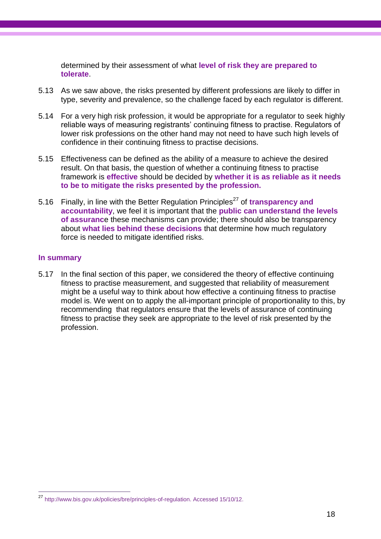determined by their assessment of what **level of risk they are prepared to tolerate**.

- 5.13 As we saw above, the risks presented by different professions are likely to differ in type, severity and prevalence, so the challenge faced by each regulator is different.
- 5.14 For a very high risk profession, it would be appropriate for a regulator to seek highly reliable ways of measuring registrants' continuing fitness to practise. Regulators of lower risk professions on the other hand may not need to have such high levels of confidence in their continuing fitness to practise decisions.
- 5.15 Effectiveness can be defined as the ability of a measure to achieve the desired result. On that basis, the question of whether a continuing fitness to practise framework is **effective** should be decided by **whether it is as reliable as it needs to be to mitigate the risks presented by the profession.**
- 5.16 Finally, in line with the Better Regulation Principles<sup>27</sup> of transparency and **accountability**, we feel it is important that the **public can understand the levels of assuranc**e these mechanisms can provide; there should also be transparency about **what lies behind these decisions** that determine how much regulatory force is needed to mitigate identified risks.

#### **In summary**

 $\overline{\phantom{a}}$ 

5.17 In the final section of this paper, we considered the theory of effective continuing fitness to practise measurement, and suggested that reliability of measurement might be a useful way to think about how effective a continuing fitness to practise model is. We went on to apply the all-important principle of proportionality to this, by recommending that regulators ensure that the levels of assurance of continuing fitness to practise they seek are appropriate to the level of risk presented by the profession.

<sup>27</sup> [http://www.bis.gov.uk/policies/bre/principles-of-regulation.](http://www.bis.gov.uk/policies/bre/principles-of-regulation) Accessed 15/10/12.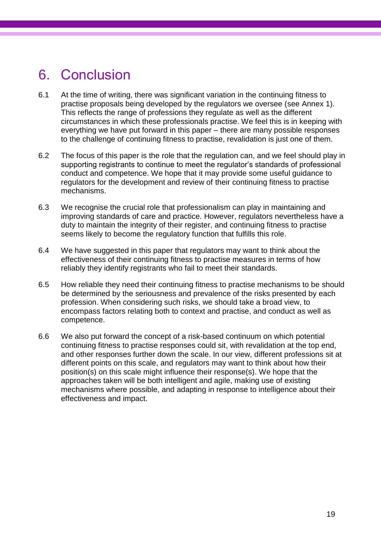# 6. Conclusion

- 6.1 At the time of writing, there was significant variation in the continuing fitness to practise proposals being developed by the regulators we oversee (see Annex 1). This reflects the range of professions they regulate as well as the different circumstances in which these professionals practise. We feel this is in keeping with everything we have put forward in this paper – there are many possible responses to the challenge of continuing fitness to practise, revalidation is just one of them.
- 6.2 The focus of this paper is the role that the regulation can, and we feel should play in supporting registrants to continue to meet the regulator's standards of professional conduct and competence. We hope that it may provide some useful guidance to regulators for the development and review of their continuing fitness to practise mechanisms.
- 6.3 We recognise the crucial role that professionalism can play in maintaining and improving standards of care and practice. However, regulators nevertheless have a duty to maintain the integrity of their register, and continuing fitness to practise seems likely to become the regulatory function that fulfills this role.
- 6.4 We have suggested in this paper that regulators may want to think about the effectiveness of their continuing fitness to practise measures in terms of how reliably they identify registrants who fail to meet their standards.
- 6.5 How reliable they need their continuing fitness to practise mechanisms to be should be determined by the seriousness and prevalence of the risks presented by each profession. When considering such risks, we should take a broad view, to encompass factors relating both to context and practise, and conduct as well as competence.
- 6.6 We also put forward the concept of a risk-based continuum on which potential continuing fitness to practise responses could sit, with revalidation at the top end, and other responses further down the scale. In our view, different professions sit at different points on this scale, and regulators may want to think about how their position(s) on this scale might influence their response(s). We hope that the approaches taken will be both intelligent and agile, making use of existing mechanisms where possible, and adapting in response to intelligence about their effectiveness and impact.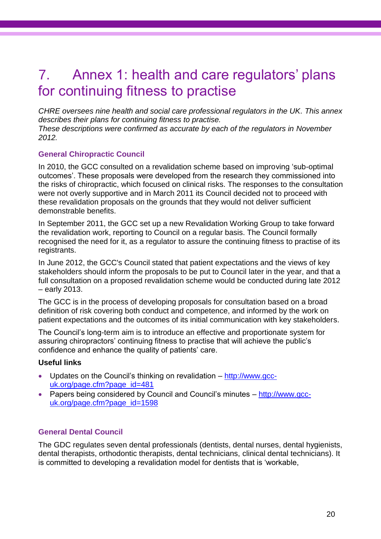# 7. Annex 1: health and care regulators' plans for continuing fitness to practise

*CHRE oversees nine health and social care professional regulators in the UK. This annex describes their plans for continuing fitness to practise.*

*These descriptions were confirmed as accurate by each of the regulators in November 2012.*

### **General Chiropractic Council**

In 2010, the GCC consulted on a revalidation scheme based on improving "sub-optimal outcomes". These proposals were developed from the research they commissioned into the risks of chiropractic, which focused on clinical risks. The responses to the consultation were not overly supportive and in March 2011 its Council decided not to proceed with these revalidation proposals on the grounds that they would not deliver sufficient demonstrable benefits.

In September 2011, the GCC set up a new Revalidation Working Group to take forward the revalidation work, reporting to Council on a regular basis. The Council formally recognised the need for it, as a regulator to assure the continuing fitness to practise of its registrants.

In June 2012, the GCC's Council stated that patient expectations and the views of key stakeholders should inform the proposals to be put to Council later in the year, and that a full consultation on a proposed revalidation scheme would be conducted during late 2012 – early 2013.

The GCC is in the process of developing proposals for consultation based on a broad definition of risk covering both conduct and competence, and informed by the work on patient expectations and the outcomes of its initial communication with key stakeholders.

The Council"s long-term aim is to introduce an effective and proportionate system for assuring chiropractors" continuing fitness to practise that will achieve the public"s confidence and enhance the quality of patients' care.

### **Useful links**

- Updates on the Council"s thinking on revalidation [http://www.gcc](http://www.gcc-uk.org/page.cfm?page_id=481)[uk.org/page.cfm?page\\_id=481](http://www.gcc-uk.org/page.cfm?page_id=481)
- Papers being considered by Council and Council's minutes [http://www.gcc](http://www.gcc-uk.org/page.cfm?page_id=1598)[uk.org/page.cfm?page\\_id=1598](http://www.gcc-uk.org/page.cfm?page_id=1598)

### **General Dental Council**

The GDC regulates seven dental professionals (dentists, dental nurses, dental hygienists, dental therapists, orthodontic therapists, dental technicians, clinical dental technicians). It is committed to developing a revalidation model for dentists that is "workable,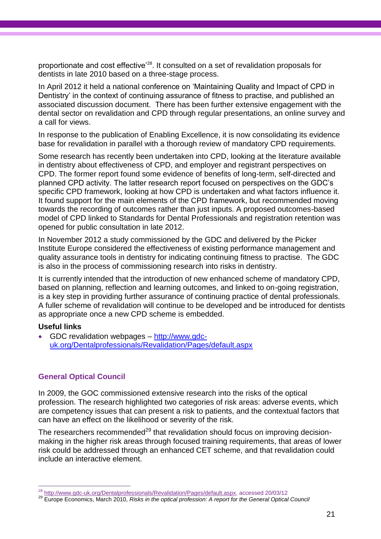proportionate and cost effective<sup>'28</sup>. It consulted on a set of revalidation proposals for dentists in late 2010 based on a three-stage process.

In April 2012 it held a national conference on "Maintaining Quality and Impact of CPD in Dentistry' in the context of continuing assurance of fitness to practise, and published an associated discussion document. There has been further extensive engagement with the dental sector on revalidation and CPD through regular presentations, an online survey and a call for views.

In response to the publication of Enabling Excellence, it is now consolidating its evidence base for revalidation in parallel with a thorough review of mandatory CPD requirements.

Some research has recently been undertaken into CPD, looking at the literature available in dentistry about effectiveness of CPD, and employer and registrant perspectives on CPD. The former report found some evidence of benefits of long-term, self-directed and planned CPD activity. The latter research report focused on perspectives on the GDC"s specific CPD framework, looking at how CPD is undertaken and what factors influence it. It found support for the main elements of the CPD framework, but recommended moving towards the recording of outcomes rather than just inputs. A proposed outcomes-based model of CPD linked to Standards for Dental Professionals and registration retention was opened for public consultation in late 2012.

In November 2012 a study commissioned by the GDC and delivered by the Picker Institute Europe considered the effectiveness of existing performance management and quality assurance tools in dentistry for indicating continuing fitness to practise. The GDC is also in the process of commissioning research into risks in dentistry.

It is currently intended that the introduction of new enhanced scheme of mandatory CPD, based on planning, reflection and learning outcomes, and linked to on-going registration, is a key step in providing further assurance of continuing practice of dental professionals. A fuller scheme of revalidation will continue to be developed and be introduced for dentists as appropriate once a new CPD scheme is embedded.

#### **Useful links**

 GDC revalidation webpages – [http://www.gdc](http://www.gdc-uk.org/Dentalprofessionals/Revalidation/Pages/default.aspx)[uk.org/Dentalprofessionals/Revalidation/Pages/default.aspx](http://www.gdc-uk.org/Dentalprofessionals/Revalidation/Pages/default.aspx)

### **General Optical Council**

In 2009, the GOC commissioned extensive research into the risks of the optical profession. The research highlighted two categories of risk areas: adverse events, which are competency issues that can present a risk to patients, and the contextual factors that can have an effect on the likelihood or severity of the risk.

The researchers recommended<sup>29</sup> that revalidation should focus on improving decisionmaking in the higher risk areas through focused training requirements, that areas of lower risk could be addressed through an enhanced CET scheme, and that revalidation could include an interactive element.

 $\overline{a}$ <sup>28</sup> [http://www.gdc-uk.org/Dentalprofessionals/Revalidation/Pages/default.aspx,](http://www.gdc-uk.org/Dentalprofessionals/Revalidation/Pages/default.aspx) accessed 20/03/12

<sup>29</sup> Europe Economics, March 2010, *Risks in the optical profession: A report for the General Optical Council*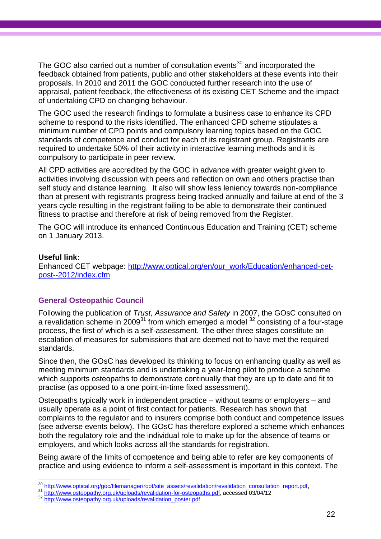The GOC also carried out a number of consultation events<sup>30</sup> and incorporated the feedback obtained from patients, public and other stakeholders at these events into their proposals. In 2010 and 2011 the GOC conducted further research into the use of appraisal, patient feedback, the effectiveness of its existing CET Scheme and the impact of undertaking CPD on changing behaviour.

The GOC used the research findings to formulate a business case to enhance its CPD scheme to respond to the risks identified. The enhanced CPD scheme stipulates a minimum number of CPD points and compulsory learning topics based on the GOC standards of competence and conduct for each of its registrant group. Registrants are required to undertake 50% of their activity in interactive learning methods and it is compulsory to participate in peer review.

All CPD activities are accredited by the GOC in advance with greater weight given to activities involving discussion with peers and reflection on own and others practise than self study and distance learning. It also will show less leniency towards non-compliance than at present with registrants progress being tracked annually and failure at end of the 3 years cycle resulting in the registrant failing to be able to demonstrate their continued fitness to practise and therefore at risk of being removed from the Register.

The GOC will introduce its enhanced Continuous Education and Training (CET) scheme on 1 January 2013.

#### **Useful link:**

Enhanced CET webpage: [http://www.optical.org/en/our\\_work/Education/enhanced-cet](http://www.optical.org/en/our_work/Education/enhanced-cet-post--2012/index.cfm)[post--2012/index.cfm](http://www.optical.org/en/our_work/Education/enhanced-cet-post--2012/index.cfm)

### **General Osteopathic Council**

Following the publication of *Trust, Assurance and Safety* in 2007, the GOsC consulted on a revalidation scheme in 2009<sup>31</sup> from which emerged a model  $32$  consisting of a four-stage process, the first of which is a self-assessment. The other three stages constitute an escalation of measures for submissions that are deemed not to have met the required standards.

Since then, the GOsC has developed its thinking to focus on enhancing quality as well as meeting minimum standards and is undertaking a year-long pilot to produce a scheme which supports osteopaths to demonstrate continually that they are up to date and fit to practise (as opposed to a one point-in-time fixed assessment).

Osteopaths typically work in independent practice – without teams or employers – and usually operate as a point of first contact for patients. Research has shown that complaints to the regulator and to insurers comprise both conduct and competence issues (see adverse events below). The GOsC has therefore explored a scheme which enhances both the regulatory role and the individual role to make up for the absence of teams or employers, and which looks across all the standards for registration.

Being aware of the limits of competence and being able to refer are key components of practice and using evidence to inform a self-assessment is important in this context. The

<sup>30</sup> [http://www.optical.org/goc/filemanager/root/site\\_assets/revalidation/revalidation\\_consultation\\_report.pdf,](http://www.optical.org/goc/filemanager/root/site_assets/revalidation/revalidation_consultation_report.pdf)

<sup>31</sup> [http://www.osteopathy.org.uk/uploads/revalidation-for-osteopaths.pdf,](http://www.osteopathy.org.uk/uploads/revalidation-for-osteopaths.pdf) accessed 03/04/12

<sup>32</sup> [http://www.osteopathy.org.uk/uploads/revalidation\\_poster.pdf](http://www.osteopathy.org.uk/uploads/revalidation_poster.pdf)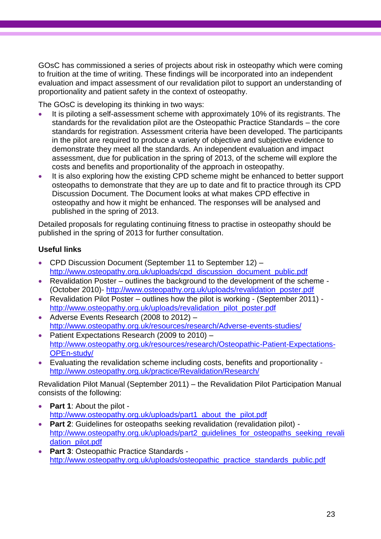GOsC has commissioned a series of projects about risk in osteopathy which were coming to fruition at the time of writing. These findings will be incorporated into an independent evaluation and impact assessment of our revalidation pilot to support an understanding of proportionality and patient safety in the context of osteopathy.

The GOsC is developing its thinking in two ways:

- It is piloting a self-assessment scheme with approximately 10% of its registrants. The standards for the revalidation pilot are the Osteopathic Practice Standards – the core standards for registration. Assessment criteria have been developed. The participants in the pilot are required to produce a variety of objective and subjective evidence to demonstrate they meet all the standards. An independent evaluation and impact assessment, due for publication in the spring of 2013, of the scheme will explore the costs and benefits and proportionality of the approach in osteopathy.
- It is also exploring how the existing CPD scheme might be enhanced to better support osteopaths to demonstrate that they are up to date and fit to practice through its CPD Discussion Document. The Document looks at what makes CPD effective in osteopathy and how it might be enhanced. The responses will be analysed and published in the spring of 2013.

Detailed proposals for regulating continuing fitness to practise in osteopathy should be published in the spring of 2013 for further consultation.

## **Useful links**

- CPD Discussion Document (September 11 to September 12) [http://www.osteopathy.org.uk/uploads/cpd\\_discussion\\_document\\_public.pdf](http://www.osteopathy.org.uk/uploads/cpd_discussion_document_public.pdf)
- Revalidation Poster outlines the background to the development of the scheme (October 2010)- [http://www.osteopathy.org.uk/uploads/revalidation\\_poster.pdf](http://www.osteopathy.org.uk/uploads/revalidation_poster.pdf)
- Revalidation Pilot Poster outlines how the pilot is working (September 2011) [http://www.osteopathy.org.uk/uploads/revalidation\\_pilot\\_poster.pdf](http://www.osteopathy.org.uk/uploads/revalidation_pilot_poster.pdf)
- Adverse Events Research (2008 to 2012) <http://www.osteopathy.org.uk/resources/research/Adverse-events-studies/>
- Patient Expectations Research (2009 to 2010) [http://www.osteopathy.org.uk/resources/research/Osteopathic-Patient-Expectations-](http://www.osteopathy.org.uk/resources/research/Osteopathic-Patient-Expectations-OPEn-study/)[OPEn-study/](http://www.osteopathy.org.uk/resources/research/Osteopathic-Patient-Expectations-OPEn-study/)
- Evaluating the revalidation scheme including costs, benefits and proportionality <http://www.osteopathy.org.uk/practice/Revalidation/Research/>

Revalidation Pilot Manual (September 2011) – the Revalidation Pilot Participation Manual consists of the following:

- **Part 1**: About the pilot [http://www.osteopathy.org.uk/uploads/part1\\_about\\_the\\_pilot.pdf](http://www.osteopathy.org.uk/uploads/part1_about_the_pilot.pdf)
- **Part 2:** Guidelines for osteopaths seeking revalidation (revalidation pilot) http://www.osteopathy.org.uk/uploads/part2\_quidelines\_for\_osteopaths\_seeking\_revali [dation\\_pilot.pdf](http://www.osteopathy.org.uk/uploads/part2_guidelines_for_osteopaths_seeking_revalidation_pilot.pdf)
- **Part 3**: Osteopathic Practice Standards [http://www.osteopathy.org.uk/uploads/osteopathic\\_practice\\_standards\\_public.pdf](http://www.osteopathy.org.uk/uploads/osteopathic_practice_standards_public.pdf)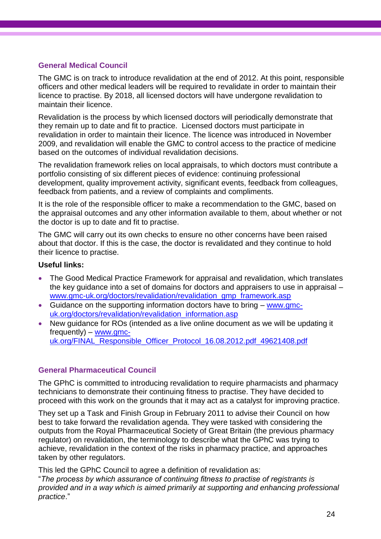#### **General Medical Council**

The GMC is on track to introduce revalidation at the end of 2012. At this point, responsible officers and other medical leaders will be required to revalidate in order to maintain their licence to practise. By 2018, all licensed doctors will have undergone revalidation to maintain their licence.

Revalidation is the process by which licensed doctors will periodically demonstrate that they remain up to date and fit to practice. Licensed doctors must participate in revalidation in order to maintain their licence. The licence was introduced in November 2009, and revalidation will enable the GMC to control access to the practice of medicine based on the outcomes of individual revalidation decisions.

The revalidation framework relies on local appraisals, to which doctors must contribute a portfolio consisting of six different pieces of evidence: continuing professional development, quality improvement activity, significant events, feedback from colleagues, feedback from patients, and a review of complaints and compliments.

It is the role of the responsible officer to make a recommendation to the GMC, based on the appraisal outcomes and any other information available to them, about whether or not the doctor is up to date and fit to practise.

The GMC will carry out its own checks to ensure no other concerns have been raised about that doctor. If this is the case, the doctor is revalidated and they continue to hold their licence to practise.

#### **Useful links:**

- The Good Medical Practice Framework for appraisal and revalidation, which translates the key guidance into a set of domains for doctors and appraisers to use in appraisal – [www.gmc-uk.org/doctors/revalidation/revalidation\\_gmp\\_framework.asp](http://www.gmc-uk.org/doctors/revalidation/revalidation_gmp_framework.asp)
- Guidance on the supporting information doctors have to bring [www.gmc](http://www.gmc-uk.org/doctors/revalidation/revalidation_information.asp)[uk.org/doctors/revalidation/revalidation\\_information.asp](http://www.gmc-uk.org/doctors/revalidation/revalidation_information.asp)
- New guidance for ROs (intended as a live online document as we will be updating it frequently) – [www.gmc](http://www.gmc-uk.org/FINAL_Responsible_Officer_Protocol_16.08.2012.pdf_49621408.pdf)[uk.org/FINAL\\_Responsible\\_Officer\\_Protocol\\_16.08.2012.pdf\\_49621408.pdf](http://www.gmc-uk.org/FINAL_Responsible_Officer_Protocol_16.08.2012.pdf_49621408.pdf)

#### **General Pharmaceutical Council**

The GPhC is committed to introducing revalidation to require pharmacists and pharmacy technicians to demonstrate their continuing fitness to practise. They have decided to proceed with this work on the grounds that it may act as a catalyst for improving practice.

They set up a Task and Finish Group in February 2011 to advise their Council on how best to take forward the revalidation agenda. They were tasked with considering the outputs from the Royal Pharmaceutical Society of Great Britain (the previous pharmacy regulator) on revalidation, the terminology to describe what the GPhC was trying to achieve, revalidation in the context of the risks in pharmacy practice, and approaches taken by other regulators.

This led the GPhC Council to agree a definition of revalidation as:

"*The process by which assurance of continuing fitness to practise of registrants is provided and in a way which is aimed primarily at supporting and enhancing professional practice*."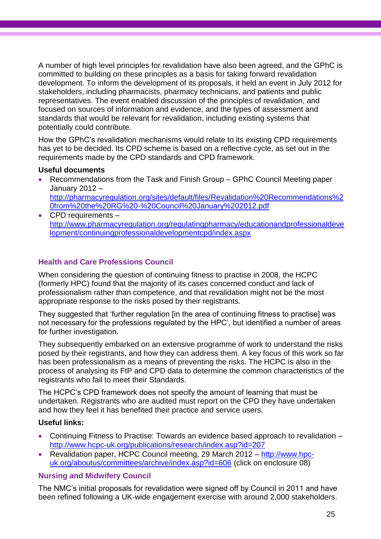A number of high level principles for revalidation have also been agreed, and the GPhC is committed to building on these principles as a basis for taking forward revalidation development. To inform the development of its proposals, it held an event in July 2012 for stakeholders, including pharmacists, pharmacy technicians, and patients and public representatives. The event enabled discussion of the principles of revalidation, and focused on sources of information and evidence, and the types of assessment and standards that would be relevant for revalidation, including existing systems that potentially could contribute.

How the GPhC"s revalidation mechanisms would relate to its existing CPD requirements has yet to be decided. Its CPD scheme is based on a reflective cycle, as set out in the requirements made by the CPD standards and CPD framework.

#### **Useful documents**

- Recommendations from the Task and Finish Group GPhC Council Meeting paper January 2012 – [http://pharmacyregulation.org/sites/default/files/Revalidation%20Recommendations%2](http://pharmacyregulation.org/sites/default/files/Revalidation%20Recommendations%20from%20the%20RG%20-%20Council%20January%202012.pdf) [0from%20the%20RG%20-%20Council%20January%202012.pdf](http://pharmacyregulation.org/sites/default/files/Revalidation%20Recommendations%20from%20the%20RG%20-%20Council%20January%202012.pdf)
- CPD requirements [http://www.pharmacyregulation.org/regulatingpharmacy/educationandprofessionaldeve](http://www.pharmacyregulation.org/regulatingpharmacy/educationandprofessionaldevelopment/continuingprofessionaldevelopmentcpd/index.aspx) [lopment/continuingprofessionaldevelopmentcpd/index.aspx](http://www.pharmacyregulation.org/regulatingpharmacy/educationandprofessionaldevelopment/continuingprofessionaldevelopmentcpd/index.aspx)

## **Health and Care Professions Council**

When considering the question of continuing fitness to practise in 2008, the HCPC (formerly HPC) found that the majority of its cases concerned conduct and lack of professionalism rather than competence, and that revalidation might not be the most appropriate response to the risks posed by their registrants.

They suggested that "further regulation [in the area of continuing fitness to practise] was not necessary for the professions regulated by the HPC", but identified a number of areas for further investigation.

They subsequently embarked on an extensive programme of work to understand the risks posed by their registrants, and how they can address them. A key focus of this work so far has been professionalism as a means of preventing the risks. The HCPC is also in the process of analysing its FtP and CPD data to determine the common characteristics of the registrants who fail to meet their Standards.

The HCPC"s CPD framework does not specify the amount of learning that must be undertaken. Registrants who are audited must report on the CPD they have undertaken and how they feel it has benefited their practice and service users.

### **Useful links:**

- Continuing Fitness to Practise: Towards an evidence based approach to revalidation <http://www.hcpc-uk.org/publications/research/index.asp?id=207>
- Revalidation paper, HCPC Council meeting, 29 March 2012 [http://www.hpc](http://www.hpc-uk.org/aboutus/committees/archive/index.asp?id=606)[uk.org/aboutus/committees/archive/index.asp?id=606](http://www.hpc-uk.org/aboutus/committees/archive/index.asp?id=606) (click on enclosure 08)

### **Nursing and Midwifery Council**

The NMC"s initial proposals for revalidation were signed off by Council in 2011 and have been refined following a UK-wide engagement exercise with around 2,000 stakeholders.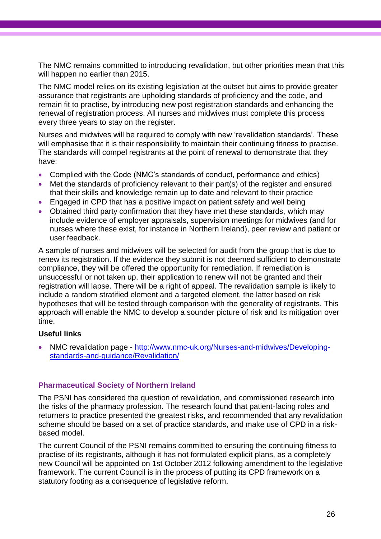The NMC remains committed to introducing revalidation, but other priorities mean that this will happen no earlier than 2015.

The NMC model relies on its existing legislation at the outset but aims to provide greater assurance that registrants are upholding standards of proficiency and the code, and remain fit to practise, by introducing new post registration standards and enhancing the renewal of registration process. All nurses and midwives must complete this process every three years to stay on the register.

Nurses and midwives will be required to comply with new "revalidation standards". These will emphasise that it is their responsibility to maintain their continuing fitness to practise. The standards will compel registrants at the point of renewal to demonstrate that they have:

- Complied with the Code (NMC"s standards of conduct, performance and ethics)
- Met the standards of proficiency relevant to their part(s) of the register and ensured that their skills and knowledge remain up to date and relevant to their practice
- Engaged in CPD that has a positive impact on patient safety and well being
- Obtained third party confirmation that they have met these standards, which may include evidence of employer appraisals, supervision meetings for midwives (and for nurses where these exist, for instance in Northern Ireland), peer review and patient or user feedback.

A sample of nurses and midwives will be selected for audit from the group that is due to renew its registration. If the evidence they submit is not deemed sufficient to demonstrate compliance, they will be offered the opportunity for remediation. If remediation is unsuccessful or not taken up, their application to renew will not be granted and their registration will lapse. There will be a right of appeal. The revalidation sample is likely to include a random stratified element and a targeted element, the latter based on risk hypotheses that will be tested through comparison with the generality of registrants. This approach will enable the NMC to develop a sounder picture of risk and its mitigation over time.

#### **Useful links**

 NMC revalidation page - [http://www.nmc-uk.org/Nurses-and-midwives/Developing](http://www.nmc-uk.org/Nurses-and-midwives/Developing-standards-and-guidance/Revalidation/)[standards-and-guidance/Revalidation/](http://www.nmc-uk.org/Nurses-and-midwives/Developing-standards-and-guidance/Revalidation/)

#### **Pharmaceutical Society of Northern Ireland**

The PSNI has considered the question of revalidation, and commissioned research into the risks of the pharmacy profession. The research found that patient-facing roles and returners to practice presented the greatest risks, and recommended that any revalidation scheme should be based on a set of practice standards, and make use of CPD in a riskbased model.

The current Council of the PSNI remains committed to ensuring the continuing fitness to practise of its registrants, although it has not formulated explicit plans, as a completely new Council will be appointed on 1st October 2012 following amendment to the legislative framework. The current Council is in the process of putting its CPD framework on a statutory footing as a consequence of legislative reform.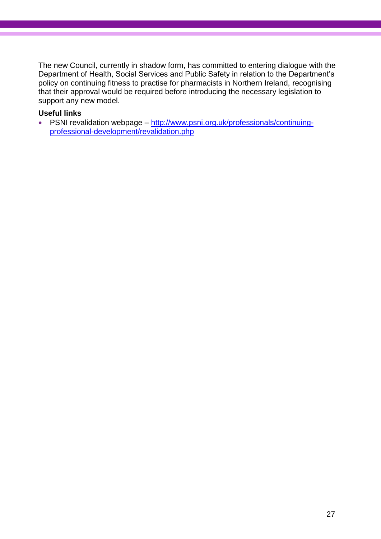The new Council, currently in shadow form, has committed to entering dialogue with the Department of Health, Social Services and Public Safety in relation to the Department"s policy on continuing fitness to practise for pharmacists in Northern Ireland, recognising that their approval would be required before introducing the necessary legislation to support any new model.

#### **Useful links**

• PSNI revalidation webpage – [http://www.psni.org.uk/professionals/continuing](http://www.psni.org.uk/professionals/continuing-professional-development/revalidation.php)[professional-development/revalidation.php](http://www.psni.org.uk/professionals/continuing-professional-development/revalidation.php)